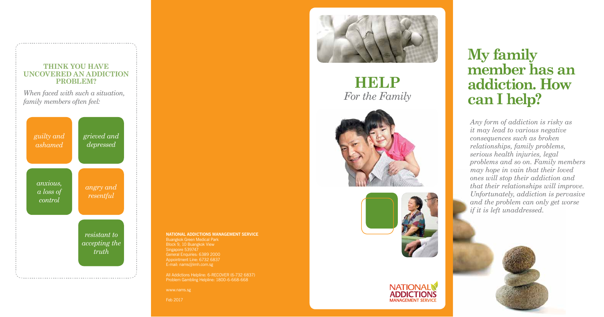*Any form of addiction is risky as it may lead to various negative consequences such as broken relationships, family problems, serious health injuries, legal problems and so on. Family members may hope in vain that their loved ones will stop their addiction and that their relationships will improve. Unfortunately, addiction is pervasive and the problem can only get worse if it is left unaddressed.* 



# **My family member has an addiction. How can I help?**

#### **NATIONAL ADDICTIONS MANAGEMENT SERVICE**

Buangkok Green Medical Park Block 9, 10 Buangkok View Singapore 539747 General Enquiries: 6389 2000 Appointment Line: 6732 6837 E-mail: nams@imh.com.sg

Problem Gambling Helpline: 1800-6-668-668

www.nams.sg

Feb 2017



## **Help** *For the Family*